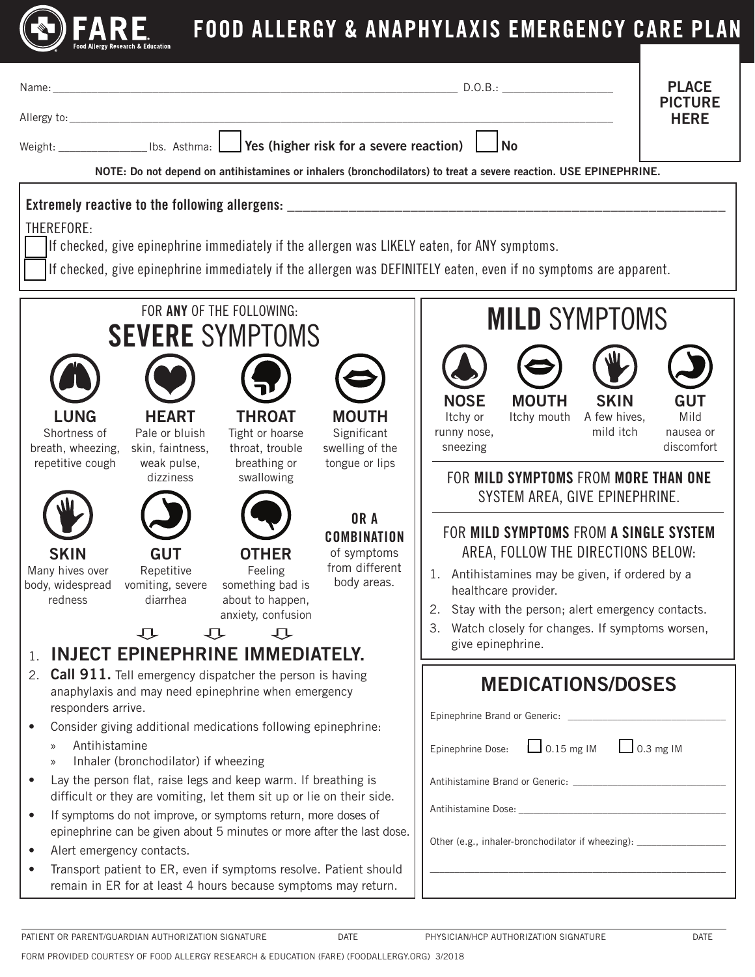

## FOOD ALLERGY & ANAPHYLAXIS EMERGENCY CARE PLAN

| <b>PLACE</b><br>D.O.B.:<br>Name: Name and the second contract of the second contract of the second contract of the second contract of the<br><b>PICTURE</b>                                                      |                                   |  |
|------------------------------------------------------------------------------------------------------------------------------------------------------------------------------------------------------------------|-----------------------------------|--|
|                                                                                                                                                                                                                  |                                   |  |
| Weight: ______________________ Ibs. Asthma: Letter Yes (higher risk for a severe reaction)<br>No                                                                                                                 |                                   |  |
| NOTE: Do not depend on antihistamines or inhalers (bronchodilators) to treat a severe reaction. USE EPINEPHRINE.                                                                                                 |                                   |  |
| Extremely reactive to the following allergens: _________________________________                                                                                                                                 |                                   |  |
| THEREFORE:                                                                                                                                                                                                       |                                   |  |
| If checked, give epinephrine immediately if the allergen was LIKELY eaten, for ANY symptoms.<br>If checked, give epinephrine immediately if the allergen was DEFINITELY eaten, even if no symptoms are apparent. |                                   |  |
|                                                                                                                                                                                                                  |                                   |  |
| FOR ANY OF THE FOLLOWING:<br><b>MILD SYMPTOMS</b>                                                                                                                                                                |                                   |  |
| <b>SEVERE SYMPTOMS</b>                                                                                                                                                                                           |                                   |  |
|                                                                                                                                                                                                                  |                                   |  |
|                                                                                                                                                                                                                  |                                   |  |
| <b>NOSE</b><br><b>MOUTH</b><br><b>LUNG</b><br><b>HEART</b><br><b>THROAT</b><br><b>MOUTH</b><br>Itchy or<br>Itchy mouth A few hives,                                                                              | <b>SKIN</b><br><b>GUT</b><br>Mild |  |
| Significant<br>runny nose,<br>Shortness of<br>Pale or bluish<br>Tight or hoarse                                                                                                                                  | mild itch<br>nausea or            |  |
| sneezing<br>swelling of the<br>breath, wheezing,<br>skin, faintness,<br>throat, trouble<br>repetitive cough<br>weak pulse,<br>breathing or<br>tongue or lips                                                     | discomfort                        |  |
| FOR MILD SYMPTOMS FROM MORE THAN ONE<br>dizziness<br>swallowing                                                                                                                                                  |                                   |  |
| SYSTEM AREA, GIVE EPINEPHRINE.                                                                                                                                                                                   |                                   |  |
| OR A<br>FOR MILD SYMPTOMS FROM A SINGLE SYSTEM<br><b>COMBINATION</b>                                                                                                                                             |                                   |  |
| AREA, FOLLOW THE DIRECTIONS BELOW:<br><b>GUT</b><br><b>SKIN</b><br><b>OTHER</b><br>of symptoms                                                                                                                   |                                   |  |
| from different<br>Many hives over<br>Repetitive<br>Feeling<br>1. Antihistamines may be given, if ordered by a<br>body areas.<br>body, widespread<br>vomiting, severe<br>something bad is                         |                                   |  |
| healthcare provider.<br>about to happen,<br>redness<br>diarrhea<br>2. Stay with the person; alert emergency contacts.                                                                                            |                                   |  |
| anxiety, confusion<br>Watch closely for changes. If symptoms worsen,<br>3.<br><b>1) 1) 1)</b>                                                                                                                    |                                   |  |
| give epinephrine.<br>INJECT EPINEPHRINE IMMEDIATELY.<br>1.                                                                                                                                                       |                                   |  |
| Call 911. Tell emergency dispatcher the person is having<br>2.                                                                                                                                                   |                                   |  |
| <b>MEDICATIONS/DOSES</b><br>anaphylaxis and may need epinephrine when emergency                                                                                                                                  |                                   |  |
| responders arrive.<br>Consider giving additional medications following epinephrine:<br>$\bullet$                                                                                                                 |                                   |  |
| Antihistamine<br>Epinephrine Dose: 0.15 mg IM 0.3 mg IM<br>$\mathcal{Y}$                                                                                                                                         |                                   |  |
| Inhaler (bronchodilator) if wheezing<br>$\mathcal{Y}$                                                                                                                                                            |                                   |  |
| Lay the person flat, raise legs and keep warm. If breathing is<br>$\bullet$<br>difficult or they are vomiting, let them sit up or lie on their side.                                                             |                                   |  |
| If symptoms do not improve, or symptoms return, more doses of<br>$\bullet$                                                                                                                                       |                                   |  |
| epinephrine can be given about 5 minutes or more after the last dose.<br>Other (e.g., inhaler-bronchodilator if wheezing): ______________________________<br>Alert emergency contacts.<br>$\bullet$              |                                   |  |
| Transport patient to ER, even if symptoms resolve. Patient should<br>$\bullet$<br>remain in ER for at least 4 hours because symptoms may return.                                                                 |                                   |  |
|                                                                                                                                                                                                                  |                                   |  |
|                                                                                                                                                                                                                  |                                   |  |

FORM PROVIDED COURTESY OF FOOD ALLERGY RESEARCH & EDUCATION (FARE) (FOODALLERGY.ORG) 3/2018